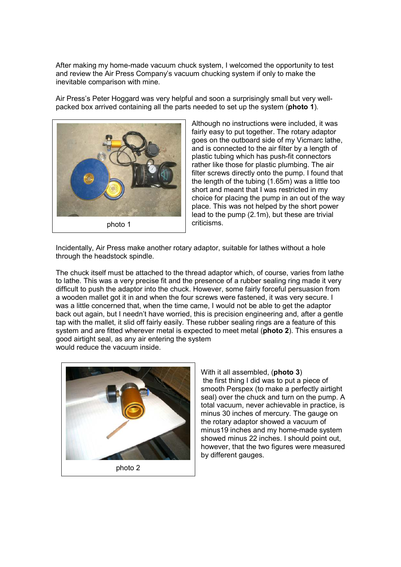After making my home-made vacuum chuck system, I welcomed the opportunity to test and review the Air Press Company's vacuum chucking system if only to make the inevitable comparison with mine.

Air Press's Peter Hoggard was very helpful and soon a surprisingly small but very wellpacked box arrived containing all the parts needed to set up the system (photo 1).



Although no instructions were included, it was fairly easy to put together. The rotary adaptor goes on the outboard side of my Vicmarc lathe, and is connected to the air filter by a length of plastic tubing which has push-fit connectors rather like those for plastic plumbing. The air filter screws directly onto the pump. I found that the length of the tubing (1.65m) was a little too short and meant that I was restricted in my choice for placing the pump in an out of the way place. This was not helped by the short power lead to the pump (2.1m), but these are trivial criticisms.

Incidentally, Air Press make another rotary adaptor, suitable for lathes without a hole through the headstock spindle.

The chuck itself must be attached to the thread adaptor which, of course, varies from lathe to lathe. This was a very precise fit and the presence of a rubber sealing ring made it very difficult to push the adaptor into the chuck. However, some fairly forceful persuasion from a wooden mallet got it in and when the four screws were fastened, it was very secure. I was a little concerned that, when the time came, I would not be able to get the adaptor back out again, but I needn't have worried, this is precision engineering and, after a gentle tap with the mallet, it slid off fairly easily. These rubber sealing rings are a feature of this system and are fitted wherever metal is expected to meet metal (**photo 2**). This ensures a good airtight seal, as any air entering the system would reduce the vacuum inside.



photo 2

With it all assembled, (photo 3) the first thing I did was to put a piece of smooth Perspex (to make a perfectly airtight seal) over the chuck and turn on the pump. A total vacuum, never achievable in practice, is minus 30 inches of mercury. The gauge on the rotary adaptor showed a vacuum of minus19 inches and my home-made system showed minus 22 inches. I should point out, however, that the two figures were measured by different gauges.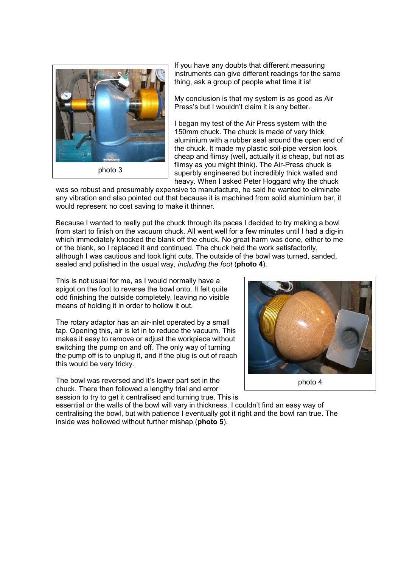

If you have any doubts that different measuring instruments can give different readings for the same thing, ask a group of people what time it is!

My conclusion is that my system is as good as Air Press's but I wouldn't claim it is any better.

I began my test of the Air Press system with the 150mm chuck. The chuck is made of very thick aluminium with a rubber seal around the open end of the chuck. It made my plastic soil-pipe version look cheap and flimsy (well, actually it is cheap, but not as flimsy as you might think). The Air-Press chuck is superbly engineered but incredibly thick walled and heavy. When I asked Peter Hoggard why the chuck

was so robust and presumably expensive to manufacture, he said he wanted to eliminate any vibration and also pointed out that because it is machined from solid aluminium bar, it would represent no cost saving to make it thinner.

Because I wanted to really put the chuck through its paces I decided to try making a bowl from start to finish on the vacuum chuck. All went well for a few minutes until I had a dig-in which immediately knocked the blank off the chuck. No great harm was done, either to me or the blank, so I replaced it and continued. The chuck held the work satisfactorily, although I was cautious and took light cuts. The outside of the bowl was turned, sanded, sealed and polished in the usual way, *including the foot* (photo 4).

This is not usual for me, as I would normally have a spigot on the foot to reverse the bowl onto. It felt quite odd finishing the outside completely, leaving no visible means of holding it in order to hollow it out.

The rotary adaptor has an air-inlet operated by a small tap. Opening this, air is let in to reduce the vacuum. This makes it easy to remove or adjust the workpiece without switching the pump on and off. The only way of turning the pump off is to unplug it, and if the plug is out of reach this would be very tricky.

The bowl was reversed and it's lower part set in the chuck. There then followed a lengthy trial and error session to try to get it centralised and turning true. This is



essential or the walls of the bowl will vary in thickness. I couldn't find an easy way of centralising the bowl, but with patience I eventually got it right and the bowl ran true. The inside was hollowed without further mishap (photo 5).